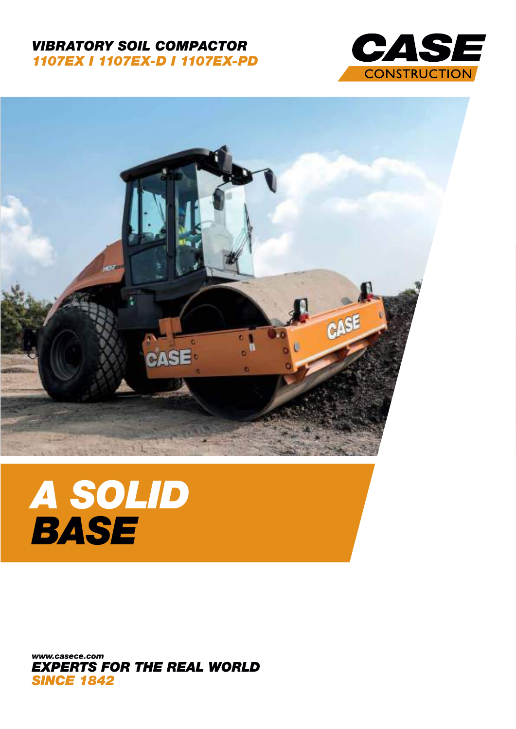#### VIBRATORY SOIL COMPACTOR 1107EX I 1107EX-D I 1107EX-PD





# A SOLID **BASE**

www.casece.com **EXPERTS FOR THE REAL WORLD SINCE 1842**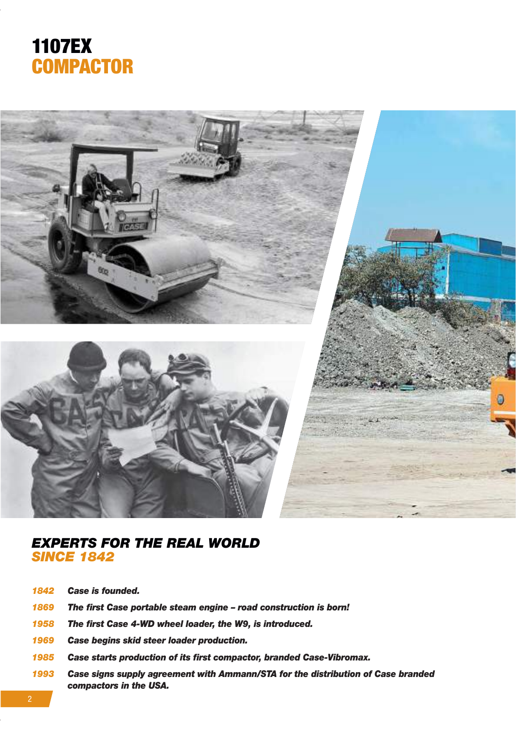



#### EXPERTS FOR THE REAL WORLD **SINCE 1842**

- 1842 Case is founded.
- 1869 The first Case portable steam engine road construction is born!
- 1958 The first Case 4-WD wheel loader, the W9, is introduced.
- 1969 Case begins skid steer loader production.
- 1985 Case starts production of its first compactor, branded Case-Vibromax.
- 1993 Case signs supply agreement with Ammann/STA for the distribution of Case branded compactors in the USA.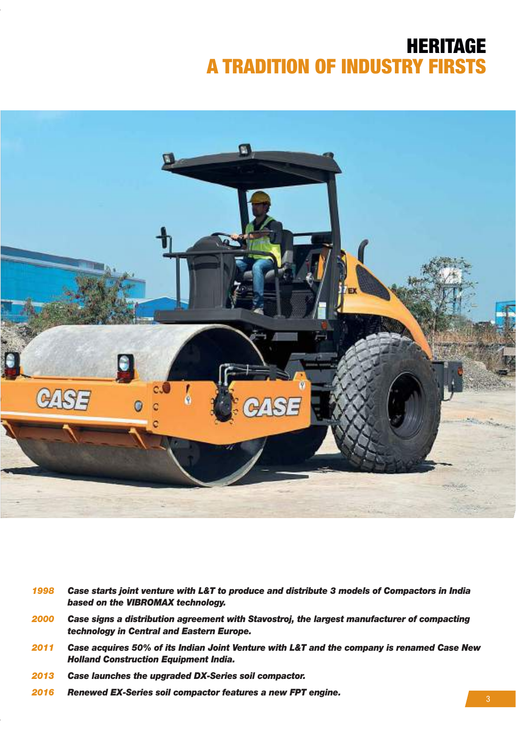### HERITAGE A TRADITION OF INDUSTRY FIRSTS



- 1998 Case starts joint venture with L&T to produce and distribute 3 models of Compactors in India based on the VIBROMAX technology.
- 2000 Case signs a distribution agreement with Stavostroj, the largest manufacturer of compacting technology in Central and Eastern Europe.
- 2011 Case acquires 50% of its Indian Joint Venture with L&T and the company is renamed Case New Holland Construction Equipment India.
- 2013 Case launches the upgraded DX-Series soil compactor.
- 2016 Renewed EX-Series soil compactor features a new FPT engine.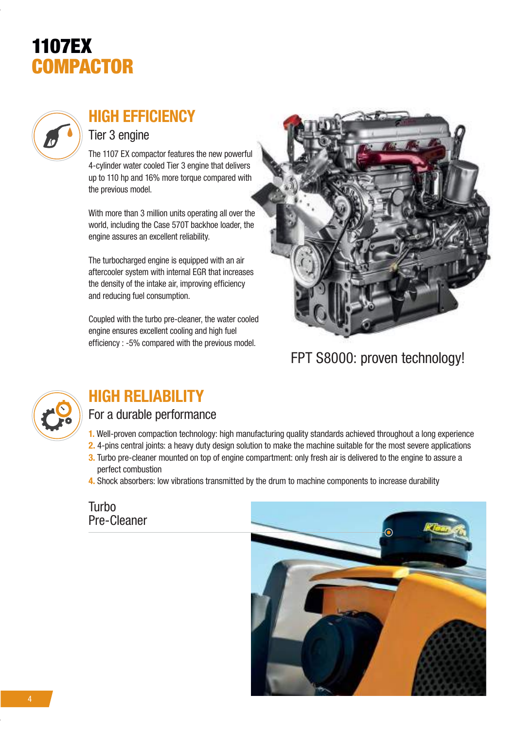## 1107EX **COMPACTOR**



### HIGH EFFICIENCY

#### Tier 3 engine

The 1107 EX compactor features the new powerful 4-cylinder water cooled Tier 3 engine that delivers up to 110 hp and 16% more torque compared with the previous model.

With more than 3 million units operating all over the world, including the Case 570T backhoe loader, the engine assures an excellent reliability.

The turbocharged engine is equipped with an air aftercooler system with internal EGR that increases the density of the intake air, improving efficiency and reducing fuel consumption.

Coupled with the turbo pre-cleaner, the water cooled engine ensures excellent cooling and high fuel efficiency : -5% compared with the previous model.



### FPT S8000: proven technology!



### HIGH RELIABILITY

#### For a durable performance

- 1. Well-proven compaction technology: high manufacturing quality standards achieved throughout a long experience
- 2. 4-pins central joints: a heavy duty design solution to make the machine suitable for the most severe applications
- 3. Turbo pre-cleaner mounted on top of engine compartment: only fresh air is delivered to the engine to assure a perfect combustion
- 4. Shock absorbers: low vibrations transmitted by the drum to machine components to increase durability

Turbo Pre-Cleaner

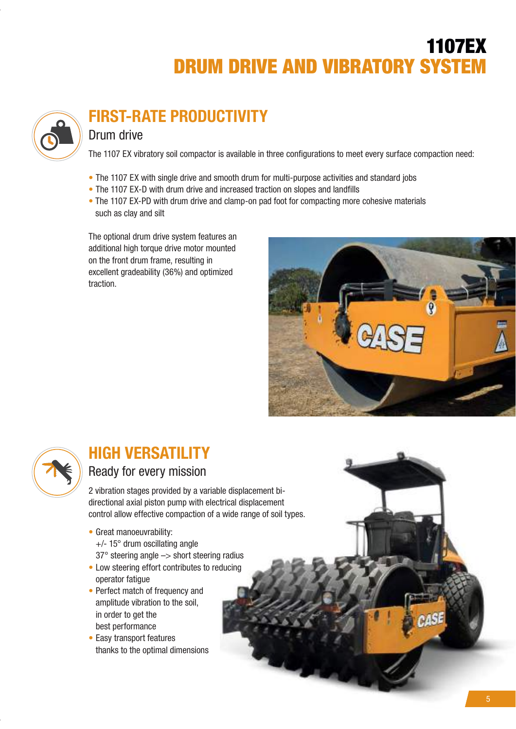### 1107EX DRUM DRIVE AND VIBRATORY SYSTEM



### FIRST-RATE PRODUCTIVITY

#### Drum drive

The 1107 EX vibratory soil compactor is available in three configurations to meet every surface compaction need:

- The 1107 EX with single drive and smooth drum for multi-purpose activities and standard jobs
- The 1107 EX-D with drum drive and increased traction on slopes and landfills
- The 1107 EX-PD with drum drive and clamp-on pad foot for compacting more cohesive materials such as clay and silt

The optional drum drive system features an additional high torque drive motor mounted on the front drum frame, resulting in excellent gradeability (36%) and optimized traction.





### HIGH VERSATILITY

#### Ready for every mission

2 vibration stages provided by a variable displacement bidirectional axial piston pump with electrical displacement control allow effective compaction of a wide range of soil types.

- Great manoeuvrability: +/- 15° drum oscillating angle
- 37° steering angle –> short steering radius
- Low steering effort contributes to reducing operator fatigue
- Perfect match of frequency and amplitude vibration to the soil, in order to get the best performance
- Easy transport features thanks to the optimal dimensions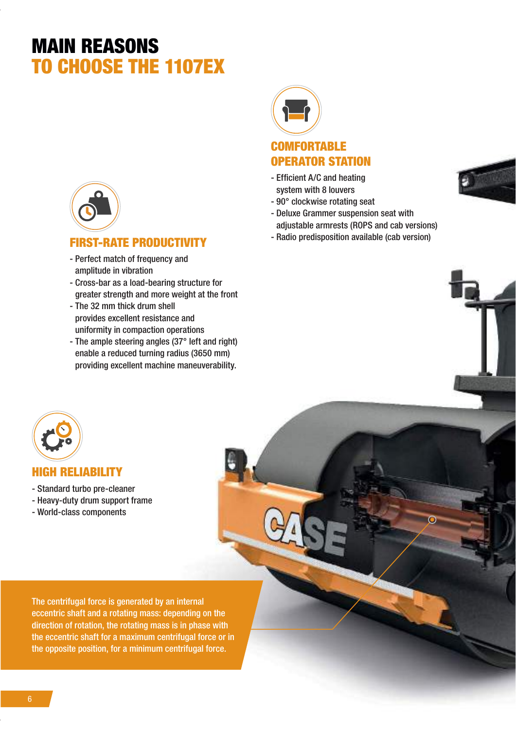### MAIN REASONS TO CHOOSE THE 1107EX



- Perfect match of frequency and amplitude in vibration
- Cross-bar as a load-bearing structure for greater strength and more weight at the front
- The 32 mm thick drum shell provides excellent resistance and uniformity in compaction operations
- The ample steering angles (37° left and right) enable a reduced turning radius (3650 mm) providing excellent machine maneuverability.



#### **COMFORTABLE** OPERATOR STATION

- Efficient A/C and heating system with 8 louvers
- 90° clockwise rotating seat
- Deluxe Grammer suspension seat with adjustable armrests (ROPS and cab versions)
- FIRST-RATE PRODUCTIVITY **FIRST-RATE** PRODUCTIVITY





#### HIGH RELIABILITY

- Standard turbo pre-cleaner
- Heavy-duty drum support frame
- World-class components

The centrifugal force is generated by an internal eccentric shaft and a rotating mass: depending on the direction of rotation, the rotating mass is in phase with the eccentric shaft for a maximum centrifugal force or in the opposite position, for a minimum centrifugal force.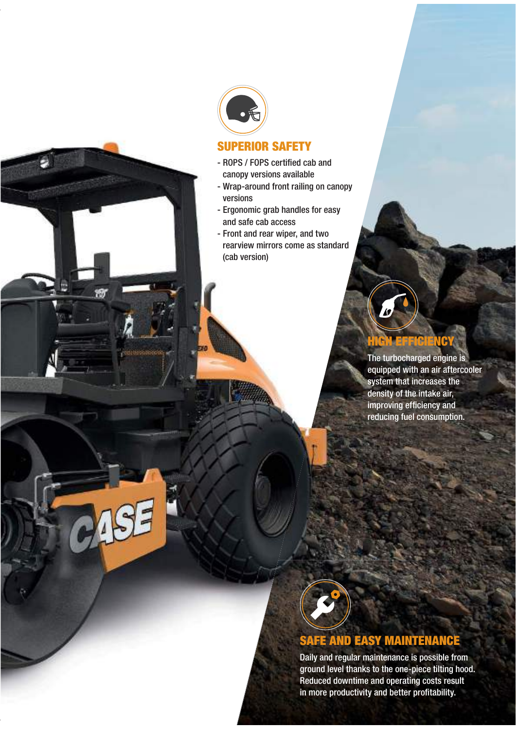

#### SUPERIOR SAFETY

- ROPS / FOPS certified cab and canopy versions available
- Wrap-around front railing on canopy versions
- Ergonomic grab handles for easy and safe cab access
- Front and rear wiper, and two rearview mirrors come as standard (cab version)

### HIGH EFFICIENCY

The turbocharged engine is equipped with an air aftercooler system that increases the density of the intake air, improving efficiency and reducing fuel consumption.



### SAFE AND EASY MAINTENANCE

Daily and regular maintenance is possible from ground level thanks to the one-piece tilting hood. Reduced downtime and operating costs result in more productivity and better profitability.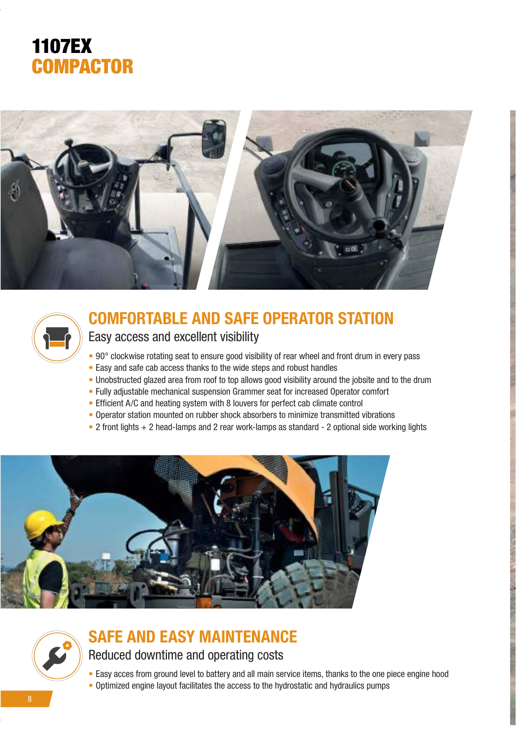





### COMFORTABLE AND SAFE OPERATOR STATION

Easy access and excellent visibility

- 90° clockwise rotating seat to ensure good visibility of rear wheel and front drum in every pass
- Easy and safe cab access thanks to the wide steps and robust handles
- Unobstructed glazed area from roof to top allows good visibility around the jobsite and to the drum
- Fully adjustable mechanical suspension Grammer seat for increased Operator comfort
- Efficient A/C and heating system with 8 louvers for perfect cab climate control
- Operator station mounted on rubber shock absorbers to minimize transmitted vibrations
- 2 front lights + 2 head-lamps and 2 rear work-lamps as standard 2 optional side working lights



## SAFE AND EASY MAINTENANCE

#### Reduced downtime and operating costs

- Easy acces from ground level to battery and all main service items, thanks to the one piece engine hood
- Optimized engine layout facilitates the access to the hydrostatic and hydraulics pumps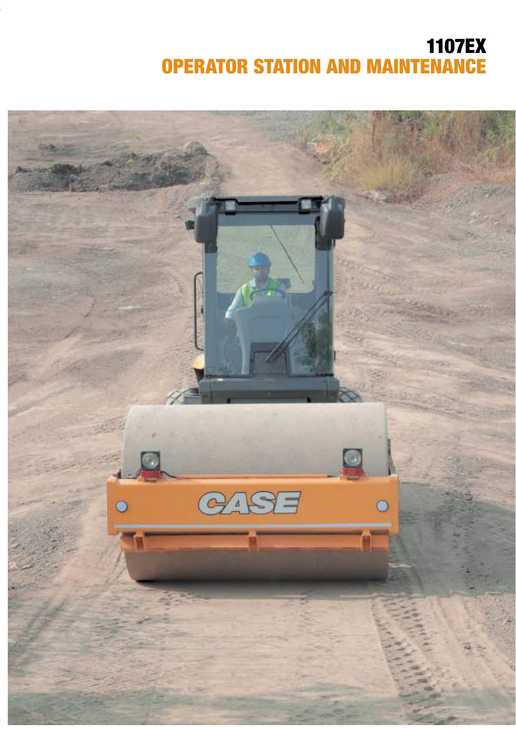### 1107EX OPERATOR STATION AND MAINTENANCE

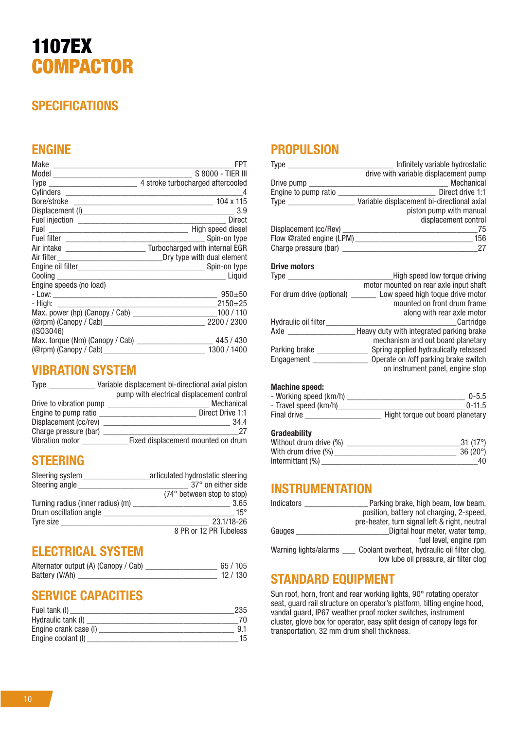### 1107EX **COMPACTOR**

#### **SPECIFICATIONS**

#### ENGINE

|                                                                                                                                | FPT                                                                     |
|--------------------------------------------------------------------------------------------------------------------------------|-------------------------------------------------------------------------|
|                                                                                                                                | S 8000 - TIER III                                                       |
|                                                                                                                                | 4 stroke turbocharged aftercooled                                       |
|                                                                                                                                | 4                                                                       |
|                                                                                                                                | 104 x 115                                                               |
|                                                                                                                                | 3.9                                                                     |
|                                                                                                                                | Direct                                                                  |
|                                                                                                                                | High speed diesel                                                       |
|                                                                                                                                | Spin-on type                                                            |
|                                                                                                                                | Air intake _____________________________ Turbocharged with internal EGR |
|                                                                                                                                | Dry type with dual element                                              |
|                                                                                                                                |                                                                         |
| Cooling to the cooling                                                                                                         |                                                                         |
| Engine speeds (no load)                                                                                                        |                                                                         |
|                                                                                                                                | $950 + 50$                                                              |
| - High:<br><u> 1980 - Johann John Stone, mars eta industrial eta industrial eta industrial eta industrial eta industrial e</u> | $2150+25$                                                               |
|                                                                                                                                | 100/110                                                                 |
|                                                                                                                                | 2200 / 2300                                                             |
| (ISO3046)                                                                                                                      |                                                                         |
|                                                                                                                                | 445 / 430                                                               |
|                                                                                                                                | 1300 / 1400                                                             |

#### VIBRATION SYSTEM

| Type                    | Variable displacement bi-directional axial piston |
|-------------------------|---------------------------------------------------|
|                         | pump with electrical displacement control         |
| Drive to vibration pump | <b>Mechanical</b>                                 |
| Engine to pump ratio    | Direct Drive 1:1                                  |
| Displacement (cc/rev)   | 34.4                                              |
| Charge pressure (bar)   | 27                                                |
| Vibration motor         | Fixed displacement mounted on drum                |

#### STEERING

| Steering system                   | articulated hydrostatic steering |
|-----------------------------------|----------------------------------|
| Steering angle                    | 37° on either side               |
|                                   | (74° between stop to stop)       |
| Turning radius (inner radius) (m) | 3.65                             |
| Drum oscillation angle            | $15^{\circ}$                     |
| Tyre size                         | 23.1/18-26                       |
|                                   | 8 PR or 12 PR Tubeless           |

#### ELECTRICAL SYSTEM

| Alternator output (A) (Canopy / Cab) | 65/105 |  |
|--------------------------------------|--------|--|
| Battery (V/Ah)                       | 12/130 |  |

#### SERVICE CAPACITIES

| Fuel tank (I)         | 235 |
|-----------------------|-----|
| Hydraulic tank (I)    |     |
| Engine crank case (I) |     |
| Engine coolant (I)    | 15  |

#### **PROPULSION**

| Infinitely variable hydrostatic            |
|--------------------------------------------|
| drive with variable displacement pump      |
| <b>Mechanical</b>                          |
| Direct drive 1:1                           |
| Variable displacement bi-directional axial |
| piston pump with manual                    |
| displacement control                       |
| 75                                         |
| Flow @rated engine (LPM)<br>156            |
| 27                                         |
|                                            |

#### Drive motors

| <b>Type</b>               | High speed low torque driving            |
|---------------------------|------------------------------------------|
|                           | motor mounted on rear axle input shaft   |
| For drum drive (optional) | Low speed high toque drive motor         |
|                           | mounted on front drum frame              |
|                           | along with rear axle motor               |
| Hydraulic oil filter      | Cartridge                                |
| Axle                      | Heavy duty with integrated parking brake |
|                           | mechanism and out board planetary        |
| Parking brake             | Spring applied hydraulically released    |
| Engagement                | Operate on /off parking brake switch     |
|                           | on instrument panel, engine stop         |
|                           |                                          |

#### Machine speed:

| - Working speed (km/h) | $0 - 5.5$                        |
|------------------------|----------------------------------|
| - Travel speed (km/h)  | $0-11.5$                         |
| Final drive            | Hight torque out board planetary |

#### Gradeability

| 31 $(17^{\circ})$ |
|-------------------|
| $36(20^{\circ})$  |
|                   |
|                   |

#### **INSTRUMENTATION**

| <b>Indicators</b>     | Parking brake, high beam, low beam,                                                    |
|-----------------------|----------------------------------------------------------------------------------------|
|                       | position, battery not charging, 2-speed,                                               |
|                       | pre-heater, turn signal left & right, neutral                                          |
| Gauges                | Digital hour meter, water temp,                                                        |
|                       | fuel level, engine rpm                                                                 |
| Warning lights/alarms | Coolant overheat, hydraulic oil filter clog,<br>low lube oil pressure, air filter clog |

#### STANDARD EQUIPMENT

Sun roof, horn, front and rear working lights, 90° rotating operator seat, guard rail structure on operator's platform, tilting engine hood, vandal guard, IP67 weather proof rocker switches, instrument cluster, glove box for operator, easy split design of canopy legs for transportation, 32 mm drum shell thickness.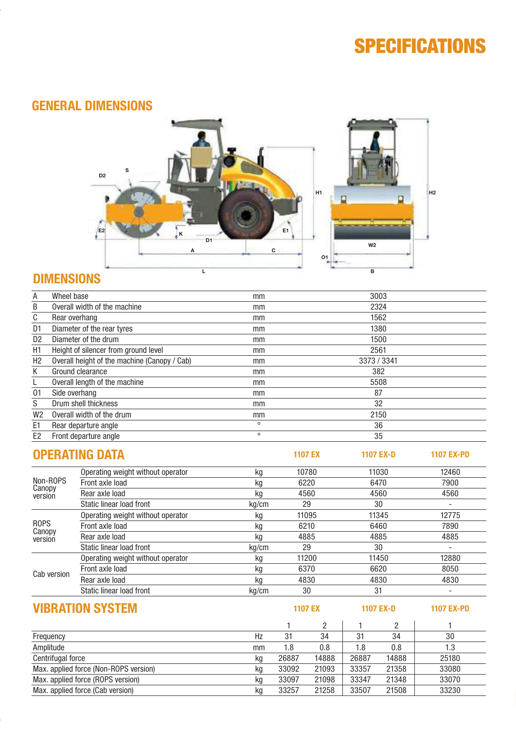### **SPECIFICATIONS**

11

#### GENERAL DIMENSIONS



#### DIMENSIONS

| Α                 | Wheel base    |                                              | mm      |                | 3003             |                          |
|-------------------|---------------|----------------------------------------------|---------|----------------|------------------|--------------------------|
| B                 |               | Overall width of the machine                 | mm      | 2324           |                  |                          |
| $\overline{C}$    | Rear overhang |                                              | mm      | 1562           |                  |                          |
| D1                |               | Diameter of the rear tyres                   | mm      |                | 1380             |                          |
| $\overline{D2}$   |               | Diameter of the drum                         | mm      |                | 1500             |                          |
| H1                |               | Height of silencer from ground level         | mm      |                | 2561             |                          |
| H2                |               | Overall height of the machine (Canopy / Cab) | mm      |                | 3373 / 3341      |                          |
| K                 |               | Ground clearance                             | mm      |                | 382              |                          |
|                   |               | Overall length of the machine                | mm      |                | 5508             |                          |
| 01                | Side overhang |                                              | mm      |                | 87               |                          |
| $\overline{s}$    |               | Drum shell thickness                         | mm      | 32             |                  |                          |
| W <sub>2</sub>    |               | Overall width of the drum                    | mm      |                | 2150             |                          |
| E1                |               | Rear departure angle                         | $\circ$ | 36             |                  |                          |
| E2                |               | Front departure angle                        | $\circ$ | 35             |                  |                          |
|                   |               | <b>OPERATING DATA</b>                        |         | <b>1107 EX</b> | <b>1107 EX-D</b> | <b>1107 EX-PD</b>        |
|                   |               | Operating weight without operator            | kq      | 10780          | 11030            | 12460                    |
|                   | Non-ROPS      | Front axle load                              | kg      | 6220           | 6470             | 7900                     |
| Canopy<br>version |               | Rear axle load                               | kg      | 4560           | 4560             | 4560                     |
|                   |               | <b>Static linear load front</b>              | kg/cm   | 29             | 30               | $\overline{\phantom{a}}$ |
|                   |               | Operating weight without operator            | kg      | 11095          | 11345            | 12775                    |
| <b>ROPS</b>       |               | Front axle load                              | kg      | 6210           | 6460             | 7890                     |
| Canopy<br>version |               | Rear axle load                               | kg      | 4885           | 4885             | 4885                     |
|                   |               | Static linear load front                     | kg/cm   | 29             | 30               | $\overline{\phantom{a}}$ |
|                   |               | Operating weight without operator            | kg      | 11200          | 11450            | 12880                    |
|                   |               | Front axle load                              | kg      | 6370           | 6620             | 8050                     |
| Cab version       |               | Rear axle load                               | kg      | 4830           | 4830             | 4830                     |
|                   |               | Static linear load front                     | kg/cm   | 30             | 31               |                          |

### **VIBRATION SYSTEM** 1107 EX 1107 EX 1107 EX-D 1107 EX-PD

1 2 | 1 2 | 1 Frequency Hz 31 34 31 34 30 Amplitude mm 1.8 0.8 1.8 0.8 1.3 Centrifugal force<br>
Max. applied force (Non-ROPS version) <br>
Max. applied force (Non-ROPS version) <br>
Kg 33092 21093 33357 21358 33080 Max. applied force (Non-ROPS version)<br>
Max. applied force (ROPS version)<br>
Max. applied force (ROPS version)<br>
kg 33097 21098 33347 21348 33070 Max. applied force (ROPS version)<br>
Max. applied force (Cab version) <br>
Max. applied force (Cab version) <br>
Max. applied force (Cab version) <br>
S3230 Max. applied force (Cab version) **kg** 33257 21258 33507 21508